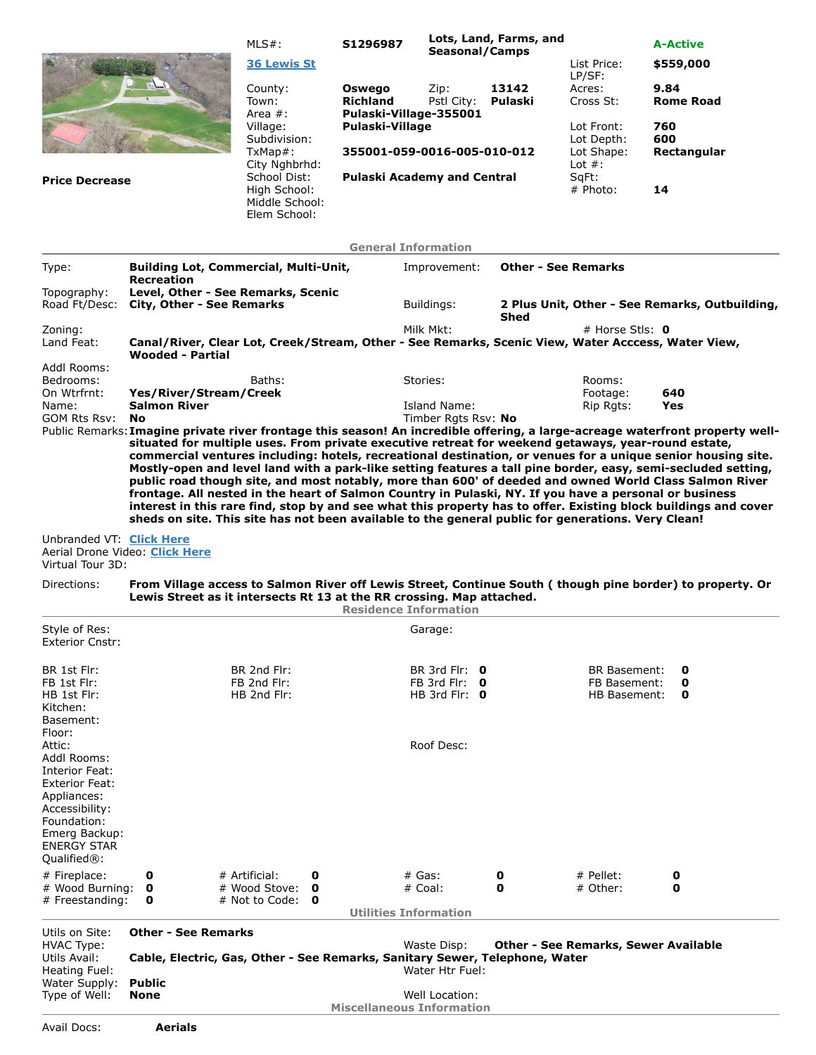|                                                                                                                                                                                  |                                                                                                                                                                                                                                                | $MLS#$ :                                                       | S1296987                                            | Lots, Land, Farms, and<br><b>A-Active</b><br><b>Seasonal/Camps</b> |                            |                                      |                                                                                                                                      |  |
|----------------------------------------------------------------------------------------------------------------------------------------------------------------------------------|------------------------------------------------------------------------------------------------------------------------------------------------------------------------------------------------------------------------------------------------|----------------------------------------------------------------|-----------------------------------------------------|--------------------------------------------------------------------|----------------------------|--------------------------------------|--------------------------------------------------------------------------------------------------------------------------------------|--|
|                                                                                                                                                                                  |                                                                                                                                                                                                                                                | <b>36 Lewis St</b>                                             |                                                     |                                                                    |                            | List Price:                          | \$559,000                                                                                                                            |  |
|                                                                                                                                                                                  |                                                                                                                                                                                                                                                | County:<br>Town:<br>Area #:                                    | Oswego<br><b>Richland</b><br>Pulaski-Village-355001 | Zip:<br>Pstl City:                                                 | 13142<br>Pulaski           | LP/SF:<br>Acres:<br>Cross St:        | 9.84<br><b>Rome Road</b>                                                                                                             |  |
|                                                                                                                                                                                  |                                                                                                                                                                                                                                                | Village:<br>Subdivision:                                       | Pulaski-Village                                     |                                                                    |                            | Lot Front:<br>Lot Depth:             | 760<br>600                                                                                                                           |  |
|                                                                                                                                                                                  |                                                                                                                                                                                                                                                | TxMap#:<br>City Nghbrhd:                                       | 355001-059-0016-005-010-012                         |                                                                    |                            | Lot Shape:<br>Lot $#$ :              | Rectangular                                                                                                                          |  |
| <b>Price Decrease</b>                                                                                                                                                            |                                                                                                                                                                                                                                                | School Dist:<br>High School:<br>Middle School:<br>Elem School: | <b>Pulaski Academy and Central</b>                  |                                                                    |                            | SqFt:<br>$#$ Photo:                  | 14                                                                                                                                   |  |
|                                                                                                                                                                                  |                                                                                                                                                                                                                                                |                                                                | <b>General Information</b>                          |                                                                    |                            |                                      |                                                                                                                                      |  |
| Type:                                                                                                                                                                            | <b>Building Lot, Commercial, Multi-Unit,</b><br><b>Recreation</b>                                                                                                                                                                              |                                                                |                                                     | Improvement:                                                       | <b>Other - See Remarks</b> |                                      |                                                                                                                                      |  |
| Topography:<br>Road Ft/Desc:                                                                                                                                                     | Level, Other - See Remarks, Scenic<br>City, Other - See Remarks                                                                                                                                                                                |                                                                |                                                     | Buildings:                                                         | Shed                       |                                      | 2 Plus Unit, Other - See Remarks, Outbuilding,                                                                                       |  |
| Zoning:<br>Land Feat:                                                                                                                                                            | Canal/River, Clear Lot, Creek/Stream, Other - See Remarks, Scenic View, Water Acccess, Water View,<br><b>Wooded - Partial</b>                                                                                                                  |                                                                |                                                     | Milk Mkt:                                                          |                            | # Horse Stls: $\mathbf 0$            |                                                                                                                                      |  |
| Addl Rooms:<br>Bedrooms:<br>On Wtrfrnt:                                                                                                                                          | Yes/River/Stream/Creek                                                                                                                                                                                                                         | Baths:                                                         |                                                     | Stories:                                                           |                            | Rooms:<br>Footage:                   | 640                                                                                                                                  |  |
| Name:<br>GOM Rts Rsv:                                                                                                                                                            | <b>Salmon River</b><br>No                                                                                                                                                                                                                      |                                                                |                                                     | Island Name:<br>Timber Rgts Rsv: No                                |                            | Rip Rgts:                            | Yes<br>Public Remarks: Imagine private river frontage this season! An incredible offering, a large-acreage waterfront property well- |  |
| Unbranded VT: Click Here<br>Virtual Tour 3D:                                                                                                                                     | frontage. All nested in the heart of Salmon Country in Pulaski, NY. If you have a personal or business<br>sheds on site. This site has not been available to the general public for generations. Very Clean!<br>Aerial Drone Video: Click Here |                                                                |                                                     |                                                                    |                            |                                      | interest in this rare find, stop by and see what this property has to offer. Existing block buildings and cover                      |  |
| Directions:                                                                                                                                                                      | From Village access to Salmon River off Lewis Street, Continue South ( though pine border) to property. Or<br>Lewis Street as it intersects Rt 13 at the RR crossing. Map attached.                                                            |                                                                | <b>Residence Information</b>                        |                                                                    |                            |                                      |                                                                                                                                      |  |
| Style of Res:<br><b>Exterior Cnstr:</b>                                                                                                                                          |                                                                                                                                                                                                                                                |                                                                |                                                     | Garage:                                                            |                            |                                      |                                                                                                                                      |  |
| BR 1st Flr:<br>FB 1st Flr:                                                                                                                                                       |                                                                                                                                                                                                                                                | BR 2nd Flr:<br>FB 2nd Flr:                                     |                                                     | BR 3rd Flr: 0<br>FB 3rd Flr: $0$                                   |                            | <b>BR Basement:</b><br>FB Basement:  | 0<br>0                                                                                                                               |  |
| HB 1st Flr:<br>Kitchen:<br>Basement:                                                                                                                                             |                                                                                                                                                                                                                                                | HB 2nd Flr:                                                    |                                                     | HB 3rd Flr: $\theta$                                               |                            | HB Basement:                         | 0                                                                                                                                    |  |
| Floor:<br>Attic:<br>Addl Rooms:<br>Interior Feat:<br><b>Exterior Feat:</b><br>Appliances:<br>Accessibility:<br>Foundation:<br>Emerg Backup:<br><b>ENERGY STAR</b><br>Qualified®: |                                                                                                                                                                                                                                                |                                                                |                                                     | Roof Desc:                                                         |                            |                                      |                                                                                                                                      |  |
| # Fireplace:<br># Wood Burning:                                                                                                                                                  | 0<br>0                                                                                                                                                                                                                                         | # Artificial:<br>0<br># Wood Stove:<br>0                       |                                                     | $#$ Gas:<br># Coal:                                                | 0<br>0                     | # Pellet:<br># Other:                | 0<br>0                                                                                                                               |  |
| # Freestanding:                                                                                                                                                                  | 0                                                                                                                                                                                                                                              | # Not to Code:<br>0                                            | <b>Utilities Information</b>                        |                                                                    |                            |                                      |                                                                                                                                      |  |
| Utils on Site:<br><b>HVAC Type:</b>                                                                                                                                              | <b>Other - See Remarks</b>                                                                                                                                                                                                                     |                                                                |                                                     | Waste Disp:                                                        |                            | Other - See Remarks, Sewer Available |                                                                                                                                      |  |
| Utils Avail:<br>Heating Fuel:                                                                                                                                                    | Cable, Electric, Gas, Other - See Remarks, Sanitary Sewer, Telephone, Water                                                                                                                                                                    |                                                                |                                                     | Water Htr Fuel:                                                    |                            |                                      |                                                                                                                                      |  |
| Water Supply:<br>Type of Well:                                                                                                                                                   | <b>Public</b><br>None                                                                                                                                                                                                                          |                                                                | <b>Miscellaneous Information</b>                    | Well Location:                                                     |                            |                                      |                                                                                                                                      |  |

Aerials